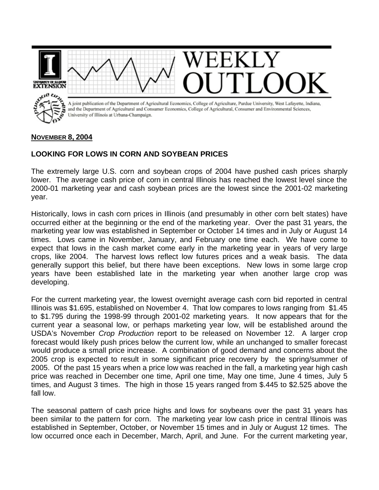

## **NOVEMBER 8, 2004**

## **LOOKING FOR LOWS IN CORN AND SOYBEAN PRICES**

The extremely large U.S. corn and soybean crops of 2004 have pushed cash prices sharply lower. The average cash price of corn in central Illinois has reached the lowest level since the 2000-01 marketing year and cash soybean prices are the lowest since the 2001-02 marketing year.

Historically, lows in cash corn prices in Illinois (and presumably in other corn belt states) have occurred either at the beginning or the end of the marketing year. Over the past 31 years, the marketing year low was established in September or October 14 times and in July or August 14 times. Lows came in November, January, and February one time each. We have come to expect that lows in the cash market come early in the marketing year in years of very large crops, like 2004. The harvest lows reflect low futures prices and a weak basis. The data generally support this belief, but there have been exceptions. New lows in some large crop years have been established late in the marketing year when another large crop was developing.

For the current marketing year, the lowest overnight average cash corn bid reported in central Illinois was \$1.695, established on November 4. That low compares to lows ranging from \$1.45 to \$1.795 during the 1998-99 through 2001-02 marketing years. It now appears that for the current year a seasonal low, or perhaps marketing year low, will be established around the USDA's November *Crop Production* report to be released on November 12. A larger crop forecast would likely push prices below the current low, while an unchanged to smaller forecast would produce a small price increase. A combination of good demand and concerns about the 2005 crop is expected to result in some significant price recovery by the spring/summer of 2005. Of the past 15 years when a price low was reached in the fall, a marketing year high cash price was reached in December one time, April one time, May one time, June 4 times, July 5 times, and August 3 times. The high in those 15 years ranged from \$.445 to \$2.525 above the fall low.

The seasonal pattern of cash price highs and lows for soybeans over the past 31 years has been similar to the pattern for corn. The marketing year low cash price in central Illinois was established in September, October, or November 15 times and in July or August 12 times. The low occurred once each in December, March, April, and June. For the current marketing year,